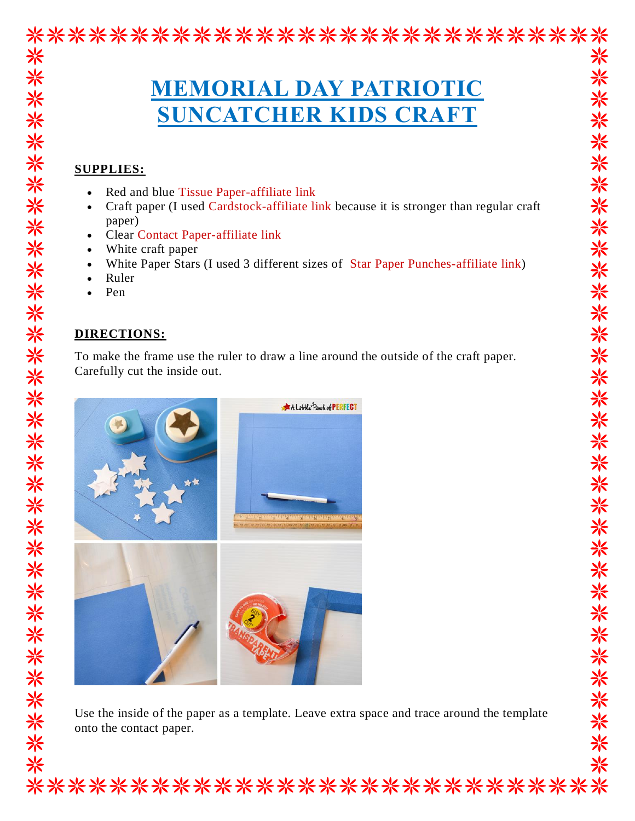

Use the inside of the paper as a template. Leave extra space and trace around the template onto the contact paper.

\*\*\*\*\*\*\*\*\*\*\*\*\*\*\*\*\*\*\*\*\*\*\*\*\*\*\*